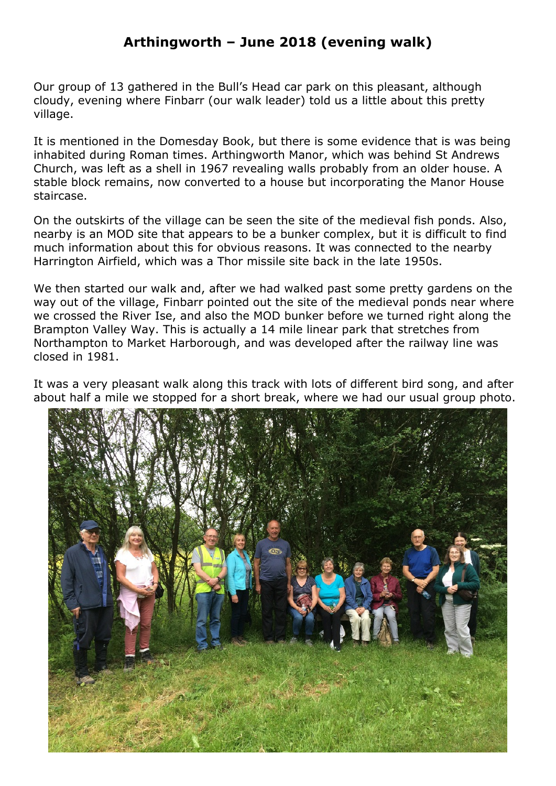## **Arthingworth – June 2018 (evening walk)**

Our group of 13 gathered in the Bull's Head car park on this pleasant, although cloudy, evening where Finbarr (our walk leader) told us a little about this pretty village.

It is mentioned in the Domesday Book, but there is some evidence that is was being inhabited during Roman times. Arthingworth Manor, which was behind St Andrews Church, was left as a shell in 1967 revealing walls probably from an older house. A stable block remains, now converted to a house but incorporating the Manor House staircase.

On the outskirts of the village can be seen the site of the medieval fish ponds. Also, nearby is an MOD site that appears to be a bunker complex, but it is difficult to find much information about this for obvious reasons. It was connected to the nearby Harrington Airfield, which was a Thor missile site back in the late 1950s.

We then started our walk and, after we had walked past some pretty gardens on the way out of the village, Finbarr pointed out the site of the medieval ponds near where we crossed the River Ise, and also the MOD bunker before we turned right along the Brampton Valley Way. This is actually a 14 mile linear park that stretches from Northampton to Market Harborough, and was developed after the railway line was closed in 1981.

It was a very pleasant walk along this track with lots of different bird song, and after about half a mile we stopped for a short break, where we had our usual group photo.